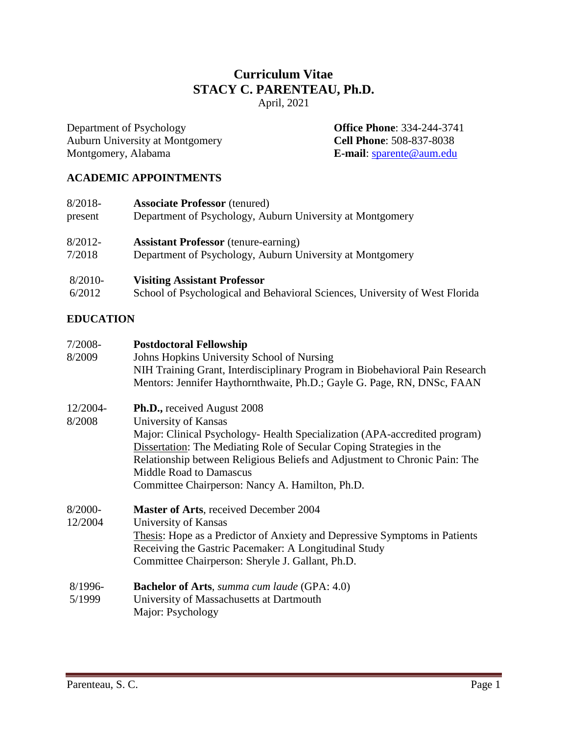# **Curriculum Vitae STACY C. PARENTEAU, Ph.D.** April, 2021

Department of Psychology **Office Phone**: 334-244-3741 Auburn University at Montgomery **Cell Phone**: 508-837-8038 Montgomery, Alabama **E-mail**: [sparente@aum.edu](mailto:sparente@aum.edu)

# **ACADEMIC APPOINTMENTS**

| $8/2018-$  | <b>Associate Professor</b> (tenured)                                        |  |
|------------|-----------------------------------------------------------------------------|--|
| present    | Department of Psychology, Auburn University at Montgomery                   |  |
| $8/2012 -$ | <b>Assistant Professor</b> (tenure-earning)                                 |  |
| 7/2018     | Department of Psychology, Auburn University at Montgomery                   |  |
| 8/2010-    | <b>Visiting Assistant Professor</b>                                         |  |
| 6/2012     | School of Psychological and Behavioral Sciences, University of West Florida |  |

# **EDUCATION**

| $7/2008-$  | <b>Postdoctoral Fellowship</b>                                                                                                                                                                                                                                                                                        |
|------------|-----------------------------------------------------------------------------------------------------------------------------------------------------------------------------------------------------------------------------------------------------------------------------------------------------------------------|
| 8/2009     | Johns Hopkins University School of Nursing                                                                                                                                                                                                                                                                            |
|            | NIH Training Grant, Interdisciplinary Program in Biobehavioral Pain Research<br>Mentors: Jennifer Haythornthwaite, Ph.D.; Gayle G. Page, RN, DNSc, FAAN                                                                                                                                                               |
| 12/2004-   | <b>Ph.D., received August 2008</b>                                                                                                                                                                                                                                                                                    |
| 8/2008     | University of Kansas                                                                                                                                                                                                                                                                                                  |
|            | Major: Clinical Psychology- Health Specialization (APA-accredited program)<br>Dissertation: The Mediating Role of Secular Coping Strategies in the<br>Relationship between Religious Beliefs and Adjustment to Chronic Pain: The<br><b>Middle Road to Damascus</b><br>Committee Chairperson: Nancy A. Hamilton, Ph.D. |
| $8/2000 -$ | <b>Master of Arts, received December 2004</b>                                                                                                                                                                                                                                                                         |
| 12/2004    | University of Kansas                                                                                                                                                                                                                                                                                                  |
|            | Thesis: Hope as a Predictor of Anxiety and Depressive Symptoms in Patients<br>Receiving the Gastric Pacemaker: A Longitudinal Study<br>Committee Chairperson: Sheryle J. Gallant, Ph.D.                                                                                                                               |
| 8/1996-    | <b>Bachelor of Arts</b> , summa cum laude (GPA: 4.0)                                                                                                                                                                                                                                                                  |
| 5/1999     | University of Massachusetts at Dartmouth                                                                                                                                                                                                                                                                              |
|            | Major: Psychology                                                                                                                                                                                                                                                                                                     |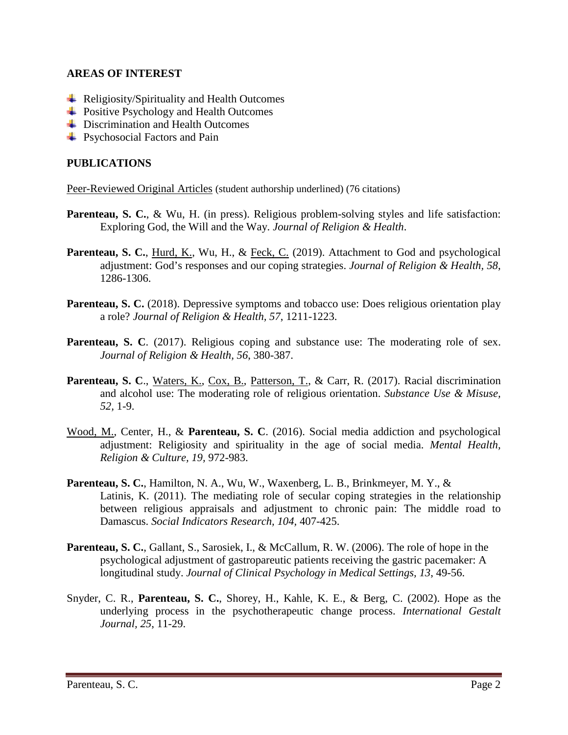## **AREAS OF INTEREST**

- $\triangleq$  Religiosity/Spirituality and Health Outcomes
- **← Positive Psychology and Health Outcomes**
- **←** Discrimination and Health Outcomes
- Psychosocial Factors and Pain

## **PUBLICATIONS**

Peer-Reviewed Original Articles (student authorship underlined) (76 citations)

- **Parenteau, S. C.**, & Wu, H. (in press). Religious problem-solving styles and life satisfaction: Exploring God, the Will and the Way. *Journal of Religion & Health*.
- **Parenteau, S. C.**, Hurd, K., Wu, H., & Feck, C. (2019). Attachment to God and psychological adjustment: God's responses and our coping strategies. *Journal of Religion & Health, 58*, 1286-1306.
- **Parenteau, S. C.** (2018). Depressive symptoms and tobacco use: Does religious orientation play a role? *Journal of Religion & Health, 57*, 1211-1223.
- **Parenteau, S. C.** (2017). Religious coping and substance use: The moderating role of sex. *Journal of Religion & Health, 56*, 380-387.
- **Parenteau, S. C**., Waters, K., Cox, B., Patterson, T., & Carr, R. (2017). Racial discrimination and alcohol use: The moderating role of religious orientation. *Substance Use & Misuse, 52,* 1-9.
- Wood, M., Center, H., & **Parenteau, S. C**. (2016). Social media addiction and psychological adjustment: Religiosity and spirituality in the age of social media. *Mental Health, Religion & Culture, 19,* 972-983.
- **Parenteau, S. C.**, Hamilton, N. A., Wu, W., Waxenberg, L. B., Brinkmeyer, M. Y., & Latinis, K. (2011). The mediating role of secular coping strategies in the relationship between religious appraisals and adjustment to chronic pain: The middle road to Damascus. *Social Indicators Research, 104,* 407-425.
- **Parenteau, S. C.**, Gallant, S., Sarosiek, I., & McCallum, R. W. (2006). The role of hope in the psychological adjustment of gastropareutic patients receiving the gastric pacemaker: A longitudinal study. *Journal of Clinical Psychology in Medical Settings, 13*, 49-56.
- Snyder, C. R., **Parenteau, S. C.**, Shorey, H., Kahle, K. E., & Berg, C. (2002). Hope as the underlying process in the psychotherapeutic change process. *International Gestalt Journal, 25*, 11-29.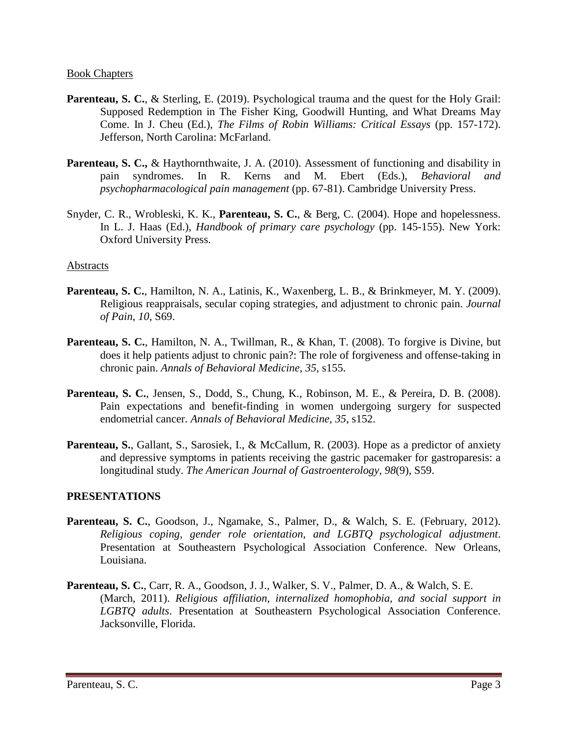#### Book Chapters

- **Parenteau, S. C.**, & Sterling, E. (2019). Psychological trauma and the quest for the Holy Grail: Supposed Redemption in The Fisher King, Goodwill Hunting, and What Dreams May Come. In J. Cheu (Ed.), *The Films of Robin Williams: Critical Essays* (pp. 157-172). Jefferson, North Carolina: McFarland.
- **Parenteau, S. C., & Haythornthwaite, J. A. (2010). Assessment of functioning and disability in** pain syndromes. In R. Kerns and M. Ebert (Eds.), *Behavioral and psychopharmacological pain management* (pp. 67-81). Cambridge University Press.
- Snyder, C. R., Wrobleski, K. K., **Parenteau, S. C.**, & Berg, C. (2004). Hope and hopelessness. In L. J. Haas (Ed.), *Handbook of primary care psychology* (pp. 145-155). New York: Oxford University Press.

### Abstracts

- **Parenteau, S. C.**, Hamilton, N. A., Latinis, K., Waxenberg, L. B., & Brinkmeyer, M. Y. (2009). Religious reappraisals, secular coping strategies, and adjustment to chronic pain. *Journal of Pain*, *10*, S69.
- **Parenteau, S. C.**, Hamilton, N. A., Twillman, R., & Khan, T. (2008). To forgive is Divine, but does it help patients adjust to chronic pain?: The role of forgiveness and offense-taking in chronic pain. *Annals of Behavioral Medicine, 35,* s155.
- **Parenteau, S. C.**, Jensen, S., Dodd, S., Chung, K., Robinson, M. E., & Pereira, D. B. (2008). Pain expectations and benefit-finding in women undergoing surgery for suspected endometrial cancer. *Annals of Behavioral Medicine, 35*, s152.
- **Parenteau, S., Gallant, S., Sarosiek, I., & McCallum, R. (2003). Hope as a predictor of anxiety** and depressive symptoms in patients receiving the gastric pacemaker for gastroparesis: a longitudinal study. *The American Journal of Gastroenterology*, *98*(9), S59.

### **PRESENTATIONS**

- **Parenteau, S. C.**, Goodson, J., Ngamake, S., Palmer, D., & Walch, S. E. (February, 2012). *Religious coping, gender role orientation, and LGBTQ psychological adjustment*. Presentation at Southeastern Psychological Association Conference. New Orleans, Louisiana.
- **Parenteau, S. C.**, Carr, R. A., Goodson, J. J., Walker, S. V., Palmer, D. A., & Walch, S. E. (March, 2011). *Religious affiliation, internalized homophobia, and social support in LGBTQ adults*. Presentation at Southeastern Psychological Association Conference. Jacksonville, Florida.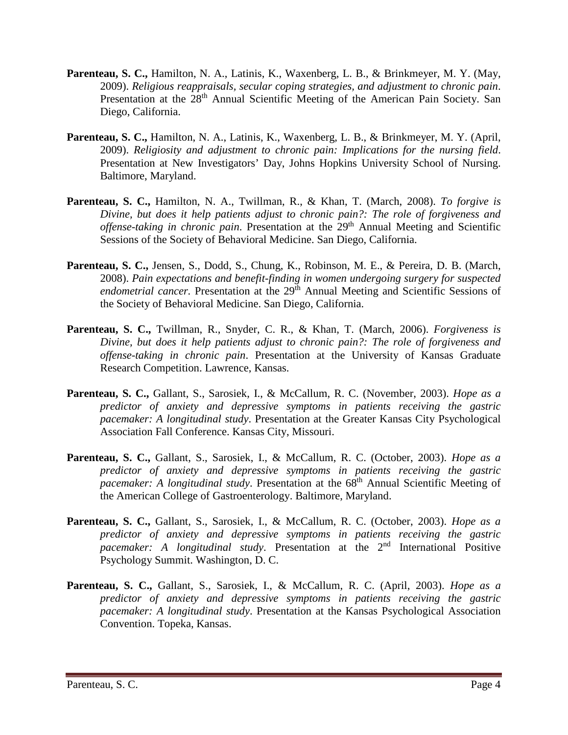- **Parenteau, S. C.,** Hamilton, N. A., Latinis, K., Waxenberg, L. B., & Brinkmeyer, M. Y. (May, 2009). *Religious reappraisals, secular coping strategies, and adjustment to chronic pain*. Presentation at the 28<sup>th</sup> Annual Scientific Meeting of the American Pain Society. San Diego, California.
- **Parenteau, S. C.,** Hamilton, N. A., Latinis, K., Waxenberg, L. B., & Brinkmeyer, M. Y. (April, 2009). *Religiosity and adjustment to chronic pain: Implications for the nursing field*. Presentation at New Investigators' Day, Johns Hopkins University School of Nursing. Baltimore, Maryland.
- **Parenteau, S. C.,** Hamilton, N. A., Twillman, R., & Khan, T. (March, 2008). *To forgive is Divine, but does it help patients adjust to chronic pain?: The role of forgiveness and offense-taking in chronic pain.* Presentation at the 29<sup>th</sup> Annual Meeting and Scientific Sessions of the Society of Behavioral Medicine. San Diego, California.
- **Parenteau, S. C.,** Jensen, S., Dodd, S., Chung, K., Robinson, M. E., & Pereira, D. B. (March, 2008). *Pain expectations and benefit-finding in women undergoing surgery for suspected*  endometrial cancer. Presentation at the 29<sup>th</sup> Annual Meeting and Scientific Sessions of the Society of Behavioral Medicine. San Diego, California.
- **Parenteau, S. C.,** Twillman, R., Snyder, C. R., & Khan, T. (March, 2006). *Forgiveness is Divine, but does it help patients adjust to chronic pain?: The role of forgiveness and offense-taking in chronic pain*. Presentation at the University of Kansas Graduate Research Competition. Lawrence, Kansas.
- **Parenteau, S. C.,** Gallant, S., Sarosiek, I., & McCallum, R. C. (November, 2003). *Hope as a predictor of anxiety and depressive symptoms in patients receiving the gastric pacemaker: A longitudinal study*. Presentation at the Greater Kansas City Psychological Association Fall Conference. Kansas City, Missouri.
- **Parenteau, S. C.,** Gallant, S., Sarosiek, I., & McCallum, R. C. (October, 2003). *Hope as a predictor of anxiety and depressive symptoms in patients receiving the gastric pacemaker: A longitudinal study.* Presentation at the 68<sup>th</sup> Annual Scientific Meeting of the American College of Gastroenterology. Baltimore, Maryland.
- **Parenteau, S. C.,** Gallant, S., Sarosiek, I., & McCallum, R. C. (October, 2003). *Hope as a predictor of anxiety and depressive symptoms in patients receiving the gastric pacemaker: A longitudinal study.* Presentation at the 2<sup>nd</sup> International Positive Psychology Summit. Washington, D. C.
- **Parenteau, S. C.,** Gallant, S., Sarosiek, I., & McCallum, R. C. (April, 2003). *Hope as a predictor of anxiety and depressive symptoms in patients receiving the gastric pacemaker: A longitudinal study*. Presentation at the Kansas Psychological Association Convention. Topeka, Kansas.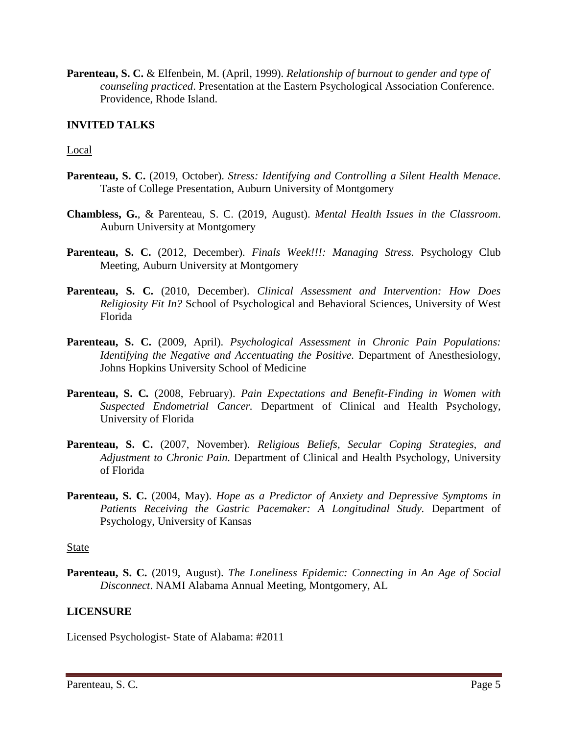**Parenteau, S. C.** & Elfenbein, M. (April, 1999). *Relationship of burnout to gender and type of counseling practiced*. Presentation at the Eastern Psychological Association Conference. Providence, Rhode Island.

## **INVITED TALKS**

#### Local

- **Parenteau, S. C.** (2019, October). *Stress: Identifying and Controlling a Silent Health Menace*. Taste of College Presentation, Auburn University of Montgomery
- **Chambless, G.**, & Parenteau, S. C. (2019, August). *Mental Health Issues in the Classroom*. Auburn University at Montgomery
- **Parenteau, S. C.** (2012, December). *Finals Week!!!: Managing Stress.* Psychology Club Meeting, Auburn University at Montgomery
- **Parenteau, S. C.** (2010, December). *Clinical Assessment and Intervention: How Does Religiosity Fit In?* School of Psychological and Behavioral Sciences, University of West Florida
- **Parenteau, S. C.** (2009, April). *Psychological Assessment in Chronic Pain Populations: Identifying the Negative and Accentuating the Positive.* Department of Anesthesiology, Johns Hopkins University School of Medicine
- **Parenteau, S. C***.* (2008, February). *Pain Expectations and Benefit-Finding in Women with Suspected Endometrial Cancer.* Department of Clinical and Health Psychology, University of Florida
- **Parenteau, S. C.** (2007, November). *Religious Beliefs, Secular Coping Strategies, and Adjustment to Chronic Pain.* Department of Clinical and Health Psychology, University of Florida
- **Parenteau, S. C.** (2004, May). *Hope as a Predictor of Anxiety and Depressive Symptoms in*  Patients Receiving the Gastric Pacemaker: A Longitudinal Study. Department of Psychology, University of Kansas

#### State

**Parenteau, S. C.** (2019, August). *The Loneliness Epidemic: Connecting in An Age of Social Disconnect*. NAMI Alabama Annual Meeting, Montgomery, AL

### **LICENSURE**

Licensed Psychologist- State of Alabama: #2011

Parenteau, S. C. Page 5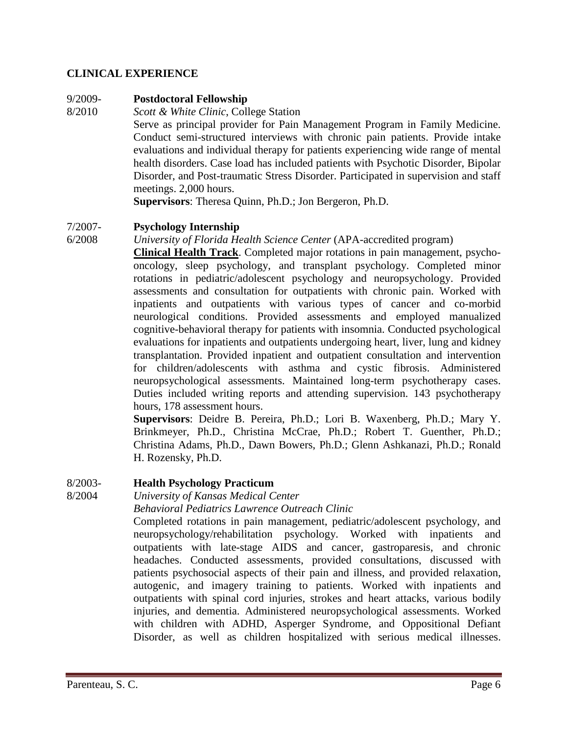## **CLINICAL EXPERIENCE**

## 9/2009- **Postdoctoral Fellowship**

8/2010 *Scott & White Clinic*, College Station Serve as principal provider for Pain Management Program in Family Medicine. Conduct semi-structured interviews with chronic pain patients. Provide intake evaluations and individual therapy for patients experiencing wide range of mental health disorders. Case load has included patients with Psychotic Disorder, Bipolar Disorder, and Post-traumatic Stress Disorder. Participated in supervision and staff meetings. 2,000 hours.

**Supervisors**: Theresa Quinn, Ph.D.; Jon Bergeron, Ph.D.

## 7/2007- **Psychology Internship**

6/2008 *University of Florida Health Science Center* (APA-accredited program)

**Clinical Health Track**. Completed major rotations in pain management, psychooncology, sleep psychology, and transplant psychology. Completed minor rotations in pediatric/adolescent psychology and neuropsychology. Provided assessments and consultation for outpatients with chronic pain. Worked with inpatients and outpatients with various types of cancer and co-morbid neurological conditions. Provided assessments and employed manualized cognitive-behavioral therapy for patients with insomnia. Conducted psychological evaluations for inpatients and outpatients undergoing heart, liver, lung and kidney transplantation. Provided inpatient and outpatient consultation and intervention for children/adolescents with asthma and cystic fibrosis. Administered neuropsychological assessments. Maintained long-term psychotherapy cases. Duties included writing reports and attending supervision. 143 psychotherapy hours, 178 assessment hours.

**Supervisors**: Deidre B. Pereira, Ph.D.; Lori B. Waxenberg, Ph.D.; Mary Y. Brinkmeyer, Ph.D., Christina McCrae, Ph.D.; Robert T. Guenther, Ph.D.; Christina Adams, Ph.D., Dawn Bowers, Ph.D.; Glenn Ashkanazi, Ph.D.; Ronald H. Rozensky, Ph.D.

## 8/2003- **Health Psychology Practicum**

8/2004 *University of Kansas Medical Center*

*Behavioral Pediatrics Lawrence Outreach Clinic*

Completed rotations in pain management, pediatric/adolescent psychology, and neuropsychology/rehabilitation psychology. Worked with inpatients and outpatients with late-stage AIDS and cancer, gastroparesis, and chronic headaches. Conducted assessments, provided consultations, discussed with patients psychosocial aspects of their pain and illness, and provided relaxation, autogenic, and imagery training to patients. Worked with inpatients and outpatients with spinal cord injuries, strokes and heart attacks, various bodily injuries, and dementia. Administered neuropsychological assessments. Worked with children with ADHD, Asperger Syndrome, and Oppositional Defiant Disorder, as well as children hospitalized with serious medical illnesses.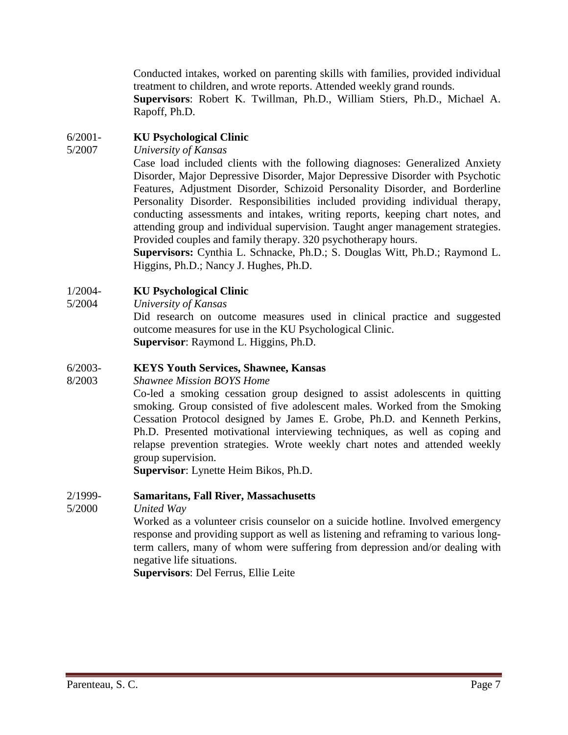Conducted intakes, worked on parenting skills with families, provided individual treatment to children, and wrote reports. Attended weekly grand rounds. **Supervisors**: Robert K. Twillman, Ph.D., William Stiers, Ph.D., Michael A. Rapoff, Ph.D.

## 6/2001- **KU Psychological Clinic**

5/2007 *University of Kansas*

Case load included clients with the following diagnoses: Generalized Anxiety Disorder, Major Depressive Disorder, Major Depressive Disorder with Psychotic Features, Adjustment Disorder, Schizoid Personality Disorder, and Borderline Personality Disorder. Responsibilities included providing individual therapy, conducting assessments and intakes, writing reports, keeping chart notes, and attending group and individual supervision. Taught anger management strategies. Provided couples and family therapy. 320 psychotherapy hours.

**Supervisors:** Cynthia L. Schnacke, Ph.D.; S. Douglas Witt, Ph.D.; Raymond L. Higgins, Ph.D.; Nancy J. Hughes, Ph.D.

## 1/2004- **KU Psychological Clinic**

5/2004 *University of Kansas*

Did research on outcome measures used in clinical practice and suggested outcome measures for use in the KU Psychological Clinic. **Supervisor**: Raymond L. Higgins, Ph.D.

## 6/2003- **KEYS Youth Services, Shawnee, Kansas**

### 8/2003 *Shawnee Mission BOYS Home*

Co-led a smoking cessation group designed to assist adolescents in quitting smoking. Group consisted of five adolescent males. Worked from the Smoking Cessation Protocol designed by James E. Grobe, Ph.D. and Kenneth Perkins, Ph.D. Presented motivational interviewing techniques, as well as coping and relapse prevention strategies. Wrote weekly chart notes and attended weekly group supervision.

**Supervisor**: Lynette Heim Bikos, Ph.D.

### 2/1999- **Samaritans, Fall River, Massachusetts**

5/2000 *United Way*

Worked as a volunteer crisis counselor on a suicide hotline. Involved emergency response and providing support as well as listening and reframing to various longterm callers, many of whom were suffering from depression and/or dealing with negative life situations.

**Supervisors**: Del Ferrus, Ellie Leite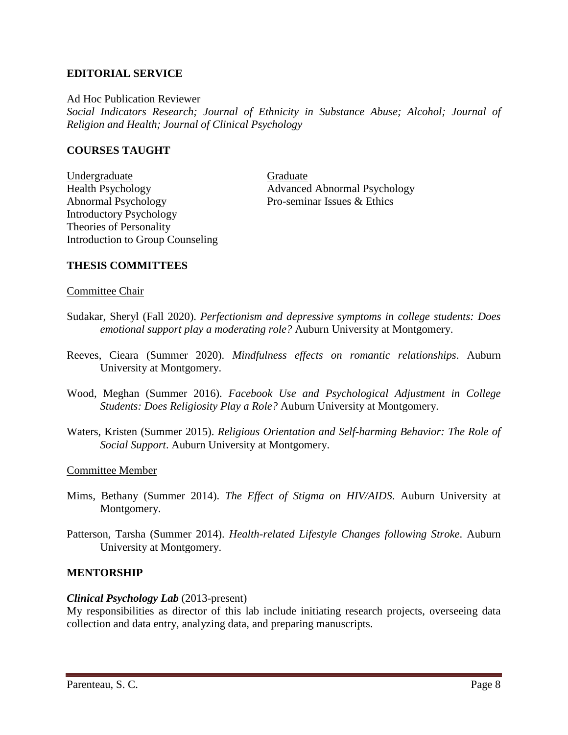### **EDITORIAL SERVICE**

Ad Hoc Publication Reviewer *Social Indicators Research; Journal of Ethnicity in Substance Abuse; Alcohol; Journal of Religion and Health; Journal of Clinical Psychology*

### **COURSES TAUGHT**

Undergraduate Graduate Graduate Health Psychology **Advanced Abnormal Psychology** Abnormal Psychology Pro-seminar Issues & Ethics Introductory Psychology Theories of Personality Introduction to Group Counseling

## **THESIS COMMITTEES**

#### Committee Chair

- Sudakar, Sheryl (Fall 2020). *Perfectionism and depressive symptoms in college students: Does emotional support play a moderating role?* Auburn University at Montgomery.
- Reeves, Cieara (Summer 2020). *Mindfulness effects on romantic relationships*. Auburn University at Montgomery.
- Wood, Meghan (Summer 2016). *Facebook Use and Psychological Adjustment in College Students: Does Religiosity Play a Role?* Auburn University at Montgomery.
- Waters, Kristen (Summer 2015). *Religious Orientation and Self-harming Behavior: The Role of Social Support*. Auburn University at Montgomery.

### Committee Member

- Mims, Bethany (Summer 2014). *The Effect of Stigma on HIV/AIDS*. Auburn University at Montgomery.
- Patterson, Tarsha (Summer 2014). *Health-related Lifestyle Changes following Stroke*. Auburn University at Montgomery.

### **MENTORSHIP**

### *Clinical Psychology Lab* (2013-present)

My responsibilities as director of this lab include initiating research projects, overseeing data collection and data entry, analyzing data, and preparing manuscripts.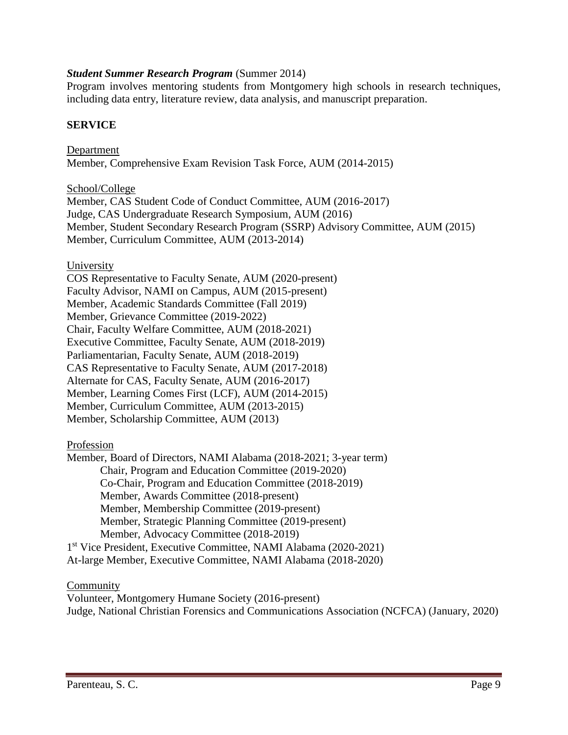### *Student Summer Research Program* (Summer 2014)

Program involves mentoring students from Montgomery high schools in research techniques, including data entry, literature review, data analysis, and manuscript preparation.

## **SERVICE**

Department Member, Comprehensive Exam Revision Task Force, AUM (2014-2015)

School/College

Member, CAS Student Code of Conduct Committee, AUM (2016-2017) Judge, CAS Undergraduate Research Symposium, AUM (2016) Member, Student Secondary Research Program (SSRP) Advisory Committee, AUM (2015) Member, Curriculum Committee, AUM (2013-2014)

### University

COS Representative to Faculty Senate, AUM (2020-present) Faculty Advisor, NAMI on Campus, AUM (2015-present) Member, Academic Standards Committee (Fall 2019) Member, Grievance Committee (2019-2022) Chair, Faculty Welfare Committee, AUM (2018-2021) Executive Committee, Faculty Senate, AUM (2018-2019) Parliamentarian, Faculty Senate, AUM (2018-2019) CAS Representative to Faculty Senate, AUM (2017-2018) Alternate for CAS, Faculty Senate, AUM (2016-2017) Member, Learning Comes First (LCF), AUM (2014-2015) Member, Curriculum Committee, AUM (2013-2015) Member, Scholarship Committee, AUM (2013)

### Profession

Member, Board of Directors, NAMI Alabama (2018-2021; 3-year term) Chair, Program and Education Committee (2019-2020) Co-Chair, Program and Education Committee (2018-2019) Member, Awards Committee (2018-present) Member, Membership Committee (2019-present) Member, Strategic Planning Committee (2019-present) Member, Advocacy Committee (2018-2019) 1st Vice President, Executive Committee, NAMI Alabama (2020-2021) At-large Member, Executive Committee, NAMI Alabama (2018-2020)

### **Community**

Volunteer, Montgomery Humane Society (2016-present) Judge, National Christian Forensics and Communications Association (NCFCA) (January, 2020)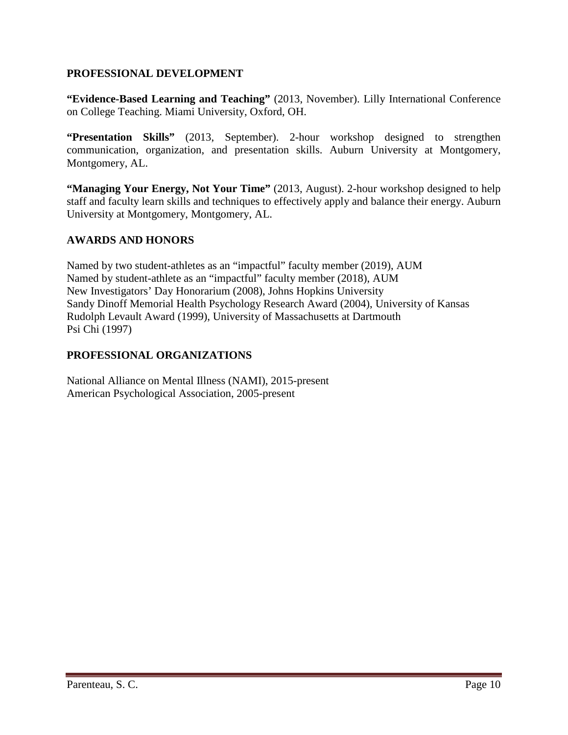## **PROFESSIONAL DEVELOPMENT**

**"Evidence-Based Learning and Teaching"** (2013, November). Lilly International Conference on College Teaching. Miami University, Oxford, OH.

**"Presentation Skills"** (2013, September). 2-hour workshop designed to strengthen communication, organization, and presentation skills. Auburn University at Montgomery, Montgomery, AL.

**"Managing Your Energy, Not Your Time"** (2013, August). 2-hour workshop designed to help staff and faculty learn skills and techniques to effectively apply and balance their energy. Auburn University at Montgomery, Montgomery, AL.

# **AWARDS AND HONORS**

Named by two student-athletes as an "impactful" faculty member (2019), AUM Named by student-athlete as an "impactful" faculty member (2018), AUM New Investigators' Day Honorarium (2008), Johns Hopkins University Sandy Dinoff Memorial Health Psychology Research Award (2004), University of Kansas Rudolph Levault Award (1999), University of Massachusetts at Dartmouth Psi Chi (1997)

## **PROFESSIONAL ORGANIZATIONS**

National Alliance on Mental Illness (NAMI), 2015-present American Psychological Association, 2005-present